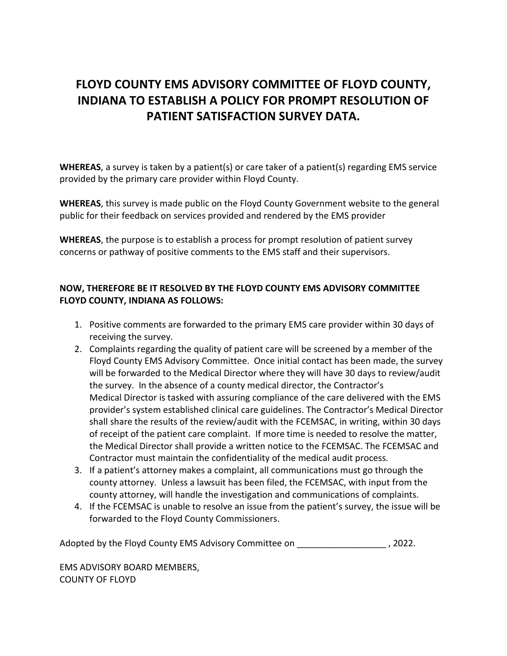## **FLOYD COUNTY EMS ADVISORY COMMITTEE OF FLOYD COUNTY, INDIANA TO ESTABLISH A POLICY FOR PROMPT RESOLUTION OF PATIENT SATISFACTION SURVEY DATA.**

**WHEREAS**, a survey is taken by a patient(s) or care taker of a patient(s) regarding EMS service provided by the primary care provider within Floyd County.

**WHEREAS**, this survey is made public on the Floyd County Government website to the general public for their feedback on services provided and rendered by the EMS provider

**WHEREAS**, the purpose is to establish a process for prompt resolution of patient survey concerns or pathway of positive comments to the EMS staff and their supervisors.

## **NOW, THEREFORE BE IT RESOLVED BY THE FLOYD COUNTY EMS ADVISORY COMMITTEE FLOYD COUNTY, INDIANA AS FOLLOWS:**

- 1. Positive comments are forwarded to the primary EMS care provider within 30 days of receiving the survey.
- 2. Complaints regarding the quality of patient care will be screened by a member of the Floyd County EMS Advisory Committee. Once initial contact has been made, the survey will be forwarded to the Medical Director where they will have 30 days to review/audit the survey. In the absence of a county medical director, the Contractor's Medical Director is tasked with assuring compliance of the care delivered with the EMS provider's system established clinical care guidelines. The Contractor's Medical Director shall share the results of the review/audit with the FCEMSAC, in writing, within 30 days of receipt of the patient care complaint. If more time is needed to resolve the matter, the Medical Director shall provide a written notice to the FCEMSAC. The FCEMSAC and Contractor must maintain the confidentiality of the medical audit process.
- 3. If a patient's attorney makes a complaint, all communications must go through the county attorney. Unless a lawsuit has been filed, the FCEMSAC, with input from the county attorney, will handle the investigation and communications of complaints.
- 4. If the FCEMSAC is unable to resolve an issue from the patient's survey, the issue will be forwarded to the Floyd County Commissioners.

Adopted by the Floyd County EMS Advisory Committee on  $\sim$  , 2022.

EMS ADVISORY BOARD MEMBERS, COUNTY OF FLOYD